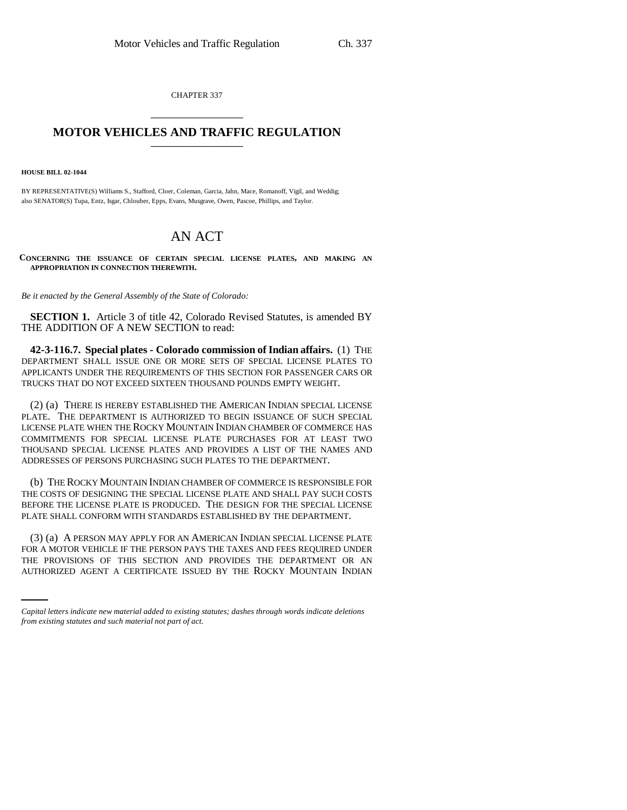CHAPTER 337 \_\_\_\_\_\_\_\_\_\_\_\_\_\_\_

## **MOTOR VEHICLES AND TRAFFIC REGULATION** \_\_\_\_\_\_\_\_\_\_\_\_\_\_\_

**HOUSE BILL 02-1044**

BY REPRESENTATIVE(S) Williams S., Stafford, Cloer, Coleman, Garcia, Jahn, Mace, Romanoff, Vigil, and Weddig; also SENATOR(S) Tupa, Entz, Isgar, Chlouber, Epps, Evans, Musgrave, Owen, Pascoe, Phillips, and Taylor.

## AN ACT

**CONCERNING THE ISSUANCE OF CERTAIN SPECIAL LICENSE PLATES, AND MAKING AN APPROPRIATION IN CONNECTION THEREWITH.**

*Be it enacted by the General Assembly of the State of Colorado:*

**SECTION 1.** Article 3 of title 42, Colorado Revised Statutes, is amended BY THE ADDITION OF A NEW SECTION to read:

**42-3-116.7. Special plates - Colorado commission of Indian affairs.** (1) THE DEPARTMENT SHALL ISSUE ONE OR MORE SETS OF SPECIAL LICENSE PLATES TO APPLICANTS UNDER THE REQUIREMENTS OF THIS SECTION FOR PASSENGER CARS OR TRUCKS THAT DO NOT EXCEED SIXTEEN THOUSAND POUNDS EMPTY WEIGHT.

(2) (a) THERE IS HEREBY ESTABLISHED THE AMERICAN INDIAN SPECIAL LICENSE PLATE. THE DEPARTMENT IS AUTHORIZED TO BEGIN ISSUANCE OF SUCH SPECIAL LICENSE PLATE WHEN THE ROCKY MOUNTAIN INDIAN CHAMBER OF COMMERCE HAS COMMITMENTS FOR SPECIAL LICENSE PLATE PURCHASES FOR AT LEAST TWO THOUSAND SPECIAL LICENSE PLATES AND PROVIDES A LIST OF THE NAMES AND ADDRESSES OF PERSONS PURCHASING SUCH PLATES TO THE DEPARTMENT.

(b) THE ROCKY MOUNTAIN INDIAN CHAMBER OF COMMERCE IS RESPONSIBLE FOR THE COSTS OF DESIGNING THE SPECIAL LICENSE PLATE AND SHALL PAY SUCH COSTS BEFORE THE LICENSE PLATE IS PRODUCED. THE DESIGN FOR THE SPECIAL LICENSE PLATE SHALL CONFORM WITH STANDARDS ESTABLISHED BY THE DEPARTMENT.

FOR A MOTOR VEHICLE IF THE PERSON PAYS THE TAXES AND FEES REQUIRED UNDER (3) (a) A PERSON MAY APPLY FOR AN AMERICAN INDIAN SPECIAL LICENSE PLATE THE PROVISIONS OF THIS SECTION AND PROVIDES THE DEPARTMENT OR AN AUTHORIZED AGENT A CERTIFICATE ISSUED BY THE ROCKY MOUNTAIN INDIAN

*Capital letters indicate new material added to existing statutes; dashes through words indicate deletions from existing statutes and such material not part of act.*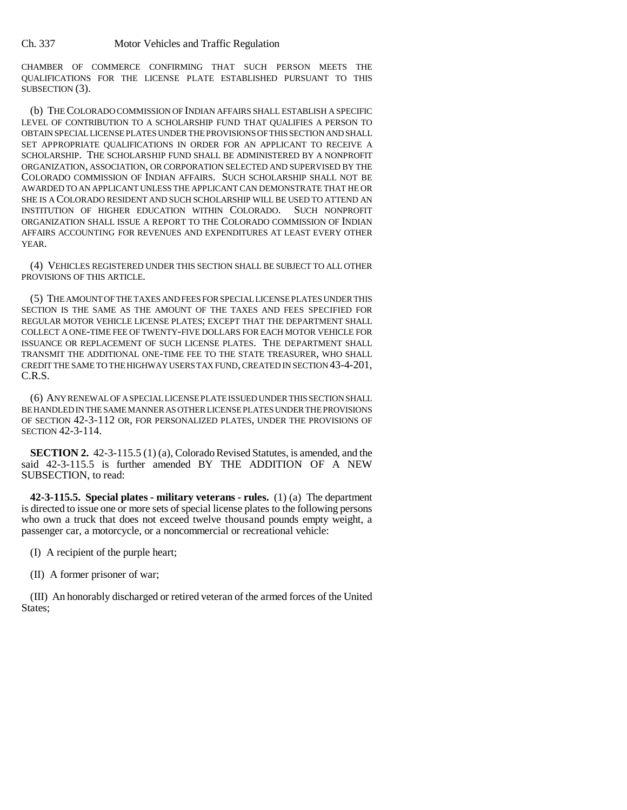CHAMBER OF COMMERCE CONFIRMING THAT SUCH PERSON MEETS THE QUALIFICATIONS FOR THE LICENSE PLATE ESTABLISHED PURSUANT TO THIS SUBSECTION (3).

(b) THE COLORADO COMMISSION OF INDIAN AFFAIRS SHALL ESTABLISH A SPECIFIC LEVEL OF CONTRIBUTION TO A SCHOLARSHIP FUND THAT QUALIFIES A PERSON TO OBTAIN SPECIAL LICENSE PLATES UNDER THE PROVISIONS OF THIS SECTION AND SHALL SET APPROPRIATE QUALIFICATIONS IN ORDER FOR AN APPLICANT TO RECEIVE A SCHOLARSHIP. THE SCHOLARSHIP FUND SHALL BE ADMINISTERED BY A NONPROFIT ORGANIZATION, ASSOCIATION, OR CORPORATION SELECTED AND SUPERVISED BY THE COLORADO COMMISSION OF INDIAN AFFAIRS. SUCH SCHOLARSHIP SHALL NOT BE AWARDED TO AN APPLICANT UNLESS THE APPLICANT CAN DEMONSTRATE THAT HE OR SHE IS A COLORADO RESIDENT AND SUCH SCHOLARSHIP WILL BE USED TO ATTEND AN INSTITUTION OF HIGHER EDUCATION WITHIN COLORADO. SUCH NONPROFIT ORGANIZATION SHALL ISSUE A REPORT TO THE COLORADO COMMISSION OF INDIAN AFFAIRS ACCOUNTING FOR REVENUES AND EXPENDITURES AT LEAST EVERY OTHER YEAR.

(4) VEHICLES REGISTERED UNDER THIS SECTION SHALL BE SUBJECT TO ALL OTHER PROVISIONS OF THIS ARTICLE.

(5) THE AMOUNT OF THE TAXES AND FEES FOR SPECIAL LICENSE PLATES UNDER THIS SECTION IS THE SAME AS THE AMOUNT OF THE TAXES AND FEES SPECIFIED FOR REGULAR MOTOR VEHICLE LICENSE PLATES; EXCEPT THAT THE DEPARTMENT SHALL COLLECT A ONE-TIME FEE OF TWENTY-FIVE DOLLARS FOR EACH MOTOR VEHICLE FOR ISSUANCE OR REPLACEMENT OF SUCH LICENSE PLATES. THE DEPARTMENT SHALL TRANSMIT THE ADDITIONAL ONE-TIME FEE TO THE STATE TREASURER, WHO SHALL CREDIT THE SAME TO THE HIGHWAY USERS TAX FUND, CREATED IN SECTION 43-4-201, C.R.S.

(6) ANY RENEWAL OF A SPECIAL LICENSE PLATE ISSUED UNDER THIS SECTION SHALL BE HANDLED IN THE SAME MANNER AS OTHER LICENSE PLATES UNDER THE PROVISIONS OF SECTION 42-3-112 OR, FOR PERSONALIZED PLATES, UNDER THE PROVISIONS OF SECTION 42-3-114.

**SECTION 2.** 42-3-115.5 (1) (a), Colorado Revised Statutes, is amended, and the said 42-3-115.5 is further amended BY THE ADDITION OF A NEW SUBSECTION, to read:

**42-3-115.5. Special plates - military veterans - rules.** (1) (a) The department is directed to issue one or more sets of special license plates to the following persons who own a truck that does not exceed twelve thousand pounds empty weight, a passenger car, a motorcycle, or a noncommercial or recreational vehicle:

(I) A recipient of the purple heart;

(II) A former prisoner of war;

(III) An honorably discharged or retired veteran of the armed forces of the United States;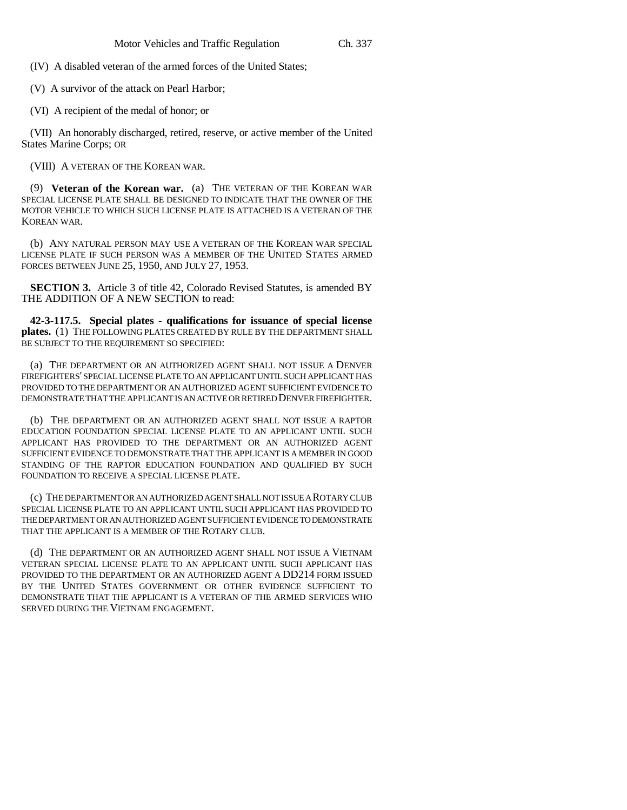(IV) A disabled veteran of the armed forces of the United States;

(V) A survivor of the attack on Pearl Harbor;

(VI) A recipient of the medal of honor;  $\sigma$ 

(VII) An honorably discharged, retired, reserve, or active member of the United States Marine Corps; OR

(VIII) A VETERAN OF THE KOREAN WAR.

(9) **Veteran of the Korean war.** (a) THE VETERAN OF THE KOREAN WAR SPECIAL LICENSE PLATE SHALL BE DESIGNED TO INDICATE THAT THE OWNER OF THE MOTOR VEHICLE TO WHICH SUCH LICENSE PLATE IS ATTACHED IS A VETERAN OF THE KOREAN WAR.

(b) ANY NATURAL PERSON MAY USE A VETERAN OF THE KOREAN WAR SPECIAL LICENSE PLATE IF SUCH PERSON WAS A MEMBER OF THE UNITED STATES ARMED FORCES BETWEEN JUNE 25, 1950, AND JULY 27, 1953.

**SECTION 3.** Article 3 of title 42, Colorado Revised Statutes, is amended BY THE ADDITION OF A NEW SECTION to read:

**42-3-117.5. Special plates - qualifications for issuance of special license plates.** (1) THE FOLLOWING PLATES CREATED BY RULE BY THE DEPARTMENT SHALL BE SUBJECT TO THE REQUIREMENT SO SPECIFIED:

(a) THE DEPARTMENT OR AN AUTHORIZED AGENT SHALL NOT ISSUE A DENVER FIREFIGHTERS' SPECIAL LICENSE PLATE TO AN APPLICANT UNTIL SUCH APPLICANT HAS PROVIDED TO THE DEPARTMENT OR AN AUTHORIZED AGENT SUFFICIENT EVIDENCE TO DEMONSTRATE THAT THE APPLICANT IS AN ACTIVE OR RETIRED DENVER FIREFIGHTER.

(b) THE DEPARTMENT OR AN AUTHORIZED AGENT SHALL NOT ISSUE A RAPTOR EDUCATION FOUNDATION SPECIAL LICENSE PLATE TO AN APPLICANT UNTIL SUCH APPLICANT HAS PROVIDED TO THE DEPARTMENT OR AN AUTHORIZED AGENT SUFFICIENT EVIDENCE TO DEMONSTRATE THAT THE APPLICANT IS A MEMBER IN GOOD STANDING OF THE RAPTOR EDUCATION FOUNDATION AND QUALIFIED BY SUCH FOUNDATION TO RECEIVE A SPECIAL LICENSE PLATE.

(c) THE DEPARTMENT OR AN AUTHORIZED AGENT SHALL NOT ISSUE A ROTARY CLUB SPECIAL LICENSE PLATE TO AN APPLICANT UNTIL SUCH APPLICANT HAS PROVIDED TO THE DEPARTMENT OR AN AUTHORIZED AGENT SUFFICIENT EVIDENCE TO DEMONSTRATE THAT THE APPLICANT IS A MEMBER OF THE ROTARY CLUB.

(d) THE DEPARTMENT OR AN AUTHORIZED AGENT SHALL NOT ISSUE A VIETNAM VETERAN SPECIAL LICENSE PLATE TO AN APPLICANT UNTIL SUCH APPLICANT HAS PROVIDED TO THE DEPARTMENT OR AN AUTHORIZED AGENT A DD214 FORM ISSUED BY THE UNITED STATES GOVERNMENT OR OTHER EVIDENCE SUFFICIENT TO DEMONSTRATE THAT THE APPLICANT IS A VETERAN OF THE ARMED SERVICES WHO SERVED DURING THE VIETNAM ENGAGEMENT.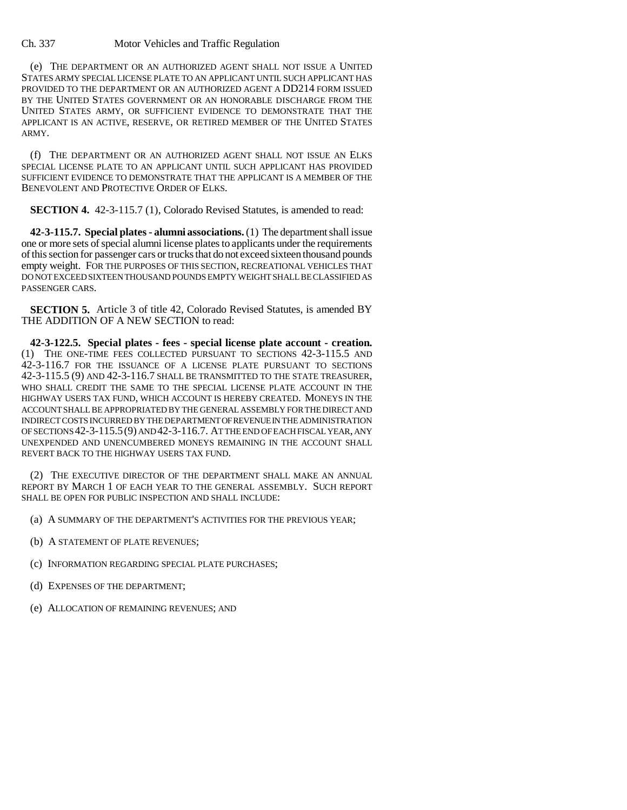## Ch. 337 Motor Vehicles and Traffic Regulation

(e) THE DEPARTMENT OR AN AUTHORIZED AGENT SHALL NOT ISSUE A UNITED STATES ARMY SPECIAL LICENSE PLATE TO AN APPLICANT UNTIL SUCH APPLICANT HAS PROVIDED TO THE DEPARTMENT OR AN AUTHORIZED AGENT A DD214 FORM ISSUED BY THE UNITED STATES GOVERNMENT OR AN HONORABLE DISCHARGE FROM THE UNITED STATES ARMY, OR SUFFICIENT EVIDENCE TO DEMONSTRATE THAT THE APPLICANT IS AN ACTIVE, RESERVE, OR RETIRED MEMBER OF THE UNITED STATES ARMY.

(f) THE DEPARTMENT OR AN AUTHORIZED AGENT SHALL NOT ISSUE AN ELKS SPECIAL LICENSE PLATE TO AN APPLICANT UNTIL SUCH APPLICANT HAS PROVIDED SUFFICIENT EVIDENCE TO DEMONSTRATE THAT THE APPLICANT IS A MEMBER OF THE BENEVOLENT AND PROTECTIVE ORDER OF ELKS.

**SECTION 4.** 42-3-115.7 (1), Colorado Revised Statures, is amended to read:

**42-3-115.7. Special plates - alumni associations.** (1) The department shall issue one or more sets of special alumni license plates to applicants under the requirements of this section for passenger cars or trucks that do not exceed sixteen thousand pounds empty weight. FOR THE PURPOSES OF THIS SECTION, RECREATIONAL VEHICLES THAT DO NOT EXCEED SIXTEEN THOUSAND POUNDS EMPTY WEIGHT SHALL BE CLASSIFIED AS PASSENGER CARS.

**SECTION 5.** Article 3 of title 42, Colorado Revised Statutes, is amended BY THE ADDITION OF A NEW SECTION to read:

**42-3-122.5. Special plates - fees - special license plate account - creation.** (1) THE ONE-TIME FEES COLLECTED PURSUANT TO SECTIONS 42-3-115.5 AND 42-3-116.7 FOR THE ISSUANCE OF A LICENSE PLATE PURSUANT TO SECTIONS 42-3-115.5 (9) AND 42-3-116.7 SHALL BE TRANSMITTED TO THE STATE TREASURER, WHO SHALL CREDIT THE SAME TO THE SPECIAL LICENSE PLATE ACCOUNT IN THE HIGHWAY USERS TAX FUND, WHICH ACCOUNT IS HEREBY CREATED. MONEYS IN THE ACCOUNT SHALL BE APPROPRIATED BY THE GENERAL ASSEMBLY FOR THE DIRECT AND INDIRECT COSTS INCURRED BY THE DEPARTMENT OF REVENUE IN THE ADMINISTRATION OF SECTIONS 42-3-115.5(9) AND 42-3-116.7. AT THE END OF EACH FISCAL YEAR, ANY UNEXPENDED AND UNENCUMBERED MONEYS REMAINING IN THE ACCOUNT SHALL REVERT BACK TO THE HIGHWAY USERS TAX FUND.

(2) THE EXECUTIVE DIRECTOR OF THE DEPARTMENT SHALL MAKE AN ANNUAL REPORT BY MARCH 1 OF EACH YEAR TO THE GENERAL ASSEMBLY. SUCH REPORT SHALL BE OPEN FOR PUBLIC INSPECTION AND SHALL INCLUDE:

- (a) A SUMMARY OF THE DEPARTMENT'S ACTIVITIES FOR THE PREVIOUS YEAR;
- (b) A STATEMENT OF PLATE REVENUES;
- (c) INFORMATION REGARDING SPECIAL PLATE PURCHASES;
- (d) EXPENSES OF THE DEPARTMENT;
- (e) ALLOCATION OF REMAINING REVENUES; AND